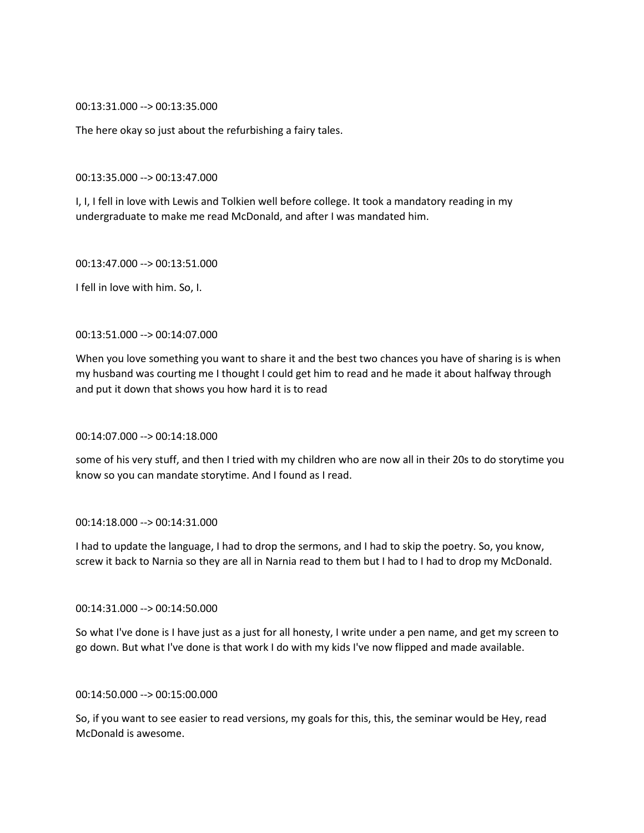00:13:31.000 --> 00:13:35.000

The here okay so just about the refurbishing a fairy tales.

00:13:35.000 --> 00:13:47.000

I, I, I fell in love with Lewis and Tolkien well before college. It took a mandatory reading in my undergraduate to make me read McDonald, and after I was mandated him.

00:13:47.000 --> 00:13:51.000

I fell in love with him. So, I.

### 00:13:51.000 --> 00:14:07.000

When you love something you want to share it and the best two chances you have of sharing is is when my husband was courting me I thought I could get him to read and he made it about halfway through and put it down that shows you how hard it is to read

### 00:14:07.000 --> 00:14:18.000

some of his very stuff, and then I tried with my children who are now all in their 20s to do storytime you know so you can mandate storytime. And I found as I read.

#### 00:14:18.000 --> 00:14:31.000

I had to update the language, I had to drop the sermons, and I had to skip the poetry. So, you know, screw it back to Narnia so they are all in Narnia read to them but I had to I had to drop my McDonald.

#### 00:14:31.000 --> 00:14:50.000

So what I've done is I have just as a just for all honesty, I write under a pen name, and get my screen to go down. But what I've done is that work I do with my kids I've now flipped and made available.

# 00:14:50.000 --> 00:15:00.000

So, if you want to see easier to read versions, my goals for this, this, the seminar would be Hey, read McDonald is awesome.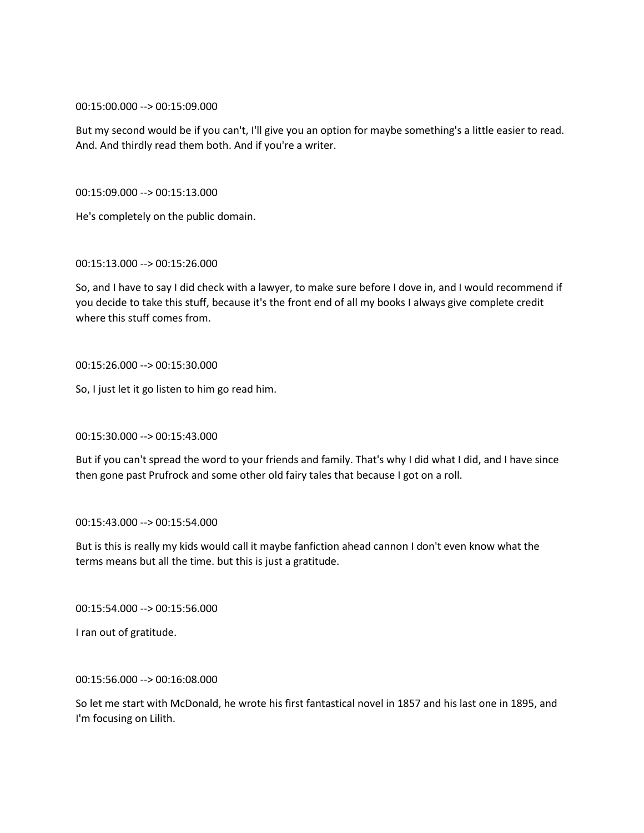# 00:15:00.000 --> 00:15:09.000

But my second would be if you can't, I'll give you an option for maybe something's a little easier to read. And. And thirdly read them both. And if you're a writer.

00:15:09.000 --> 00:15:13.000

He's completely on the public domain.

00:15:13.000 --> 00:15:26.000

So, and I have to say I did check with a lawyer, to make sure before I dove in, and I would recommend if you decide to take this stuff, because it's the front end of all my books I always give complete credit where this stuff comes from.

# 00:15:26.000 --> 00:15:30.000

So, I just let it go listen to him go read him.

00:15:30.000 --> 00:15:43.000

But if you can't spread the word to your friends and family. That's why I did what I did, and I have since then gone past Prufrock and some other old fairy tales that because I got on a roll.

00:15:43.000 --> 00:15:54.000

But is this is really my kids would call it maybe fanfiction ahead cannon I don't even know what the terms means but all the time. but this is just a gratitude.

00:15:54.000 --> 00:15:56.000

I ran out of gratitude.

### 00:15:56.000 --> 00:16:08.000

So let me start with McDonald, he wrote his first fantastical novel in 1857 and his last one in 1895, and I'm focusing on Lilith.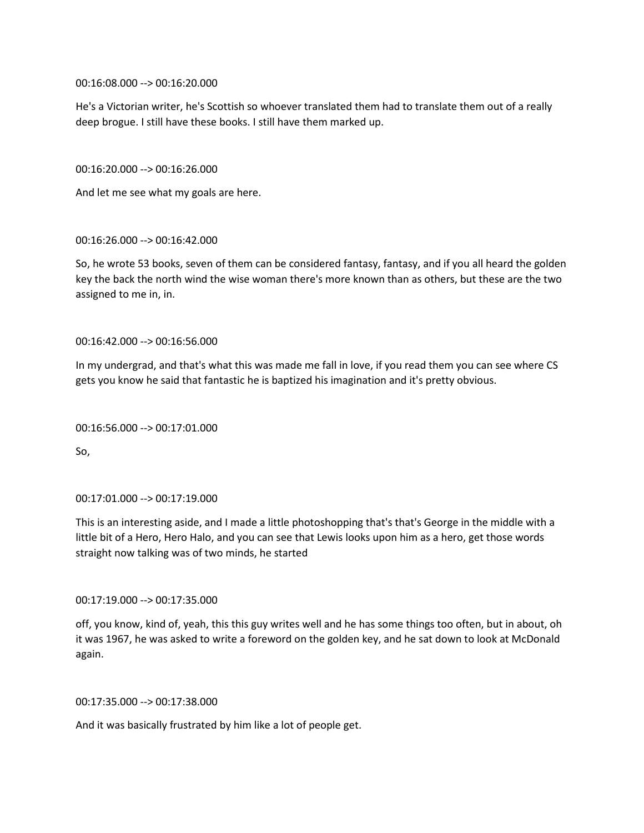00:16:08.000 --> 00:16:20.000

He's a Victorian writer, he's Scottish so whoever translated them had to translate them out of a really deep brogue. I still have these books. I still have them marked up.

00:16:20.000 --> 00:16:26.000

And let me see what my goals are here.

00:16:26.000 --> 00:16:42.000

So, he wrote 53 books, seven of them can be considered fantasy, fantasy, and if you all heard the golden key the back the north wind the wise woman there's more known than as others, but these are the two assigned to me in, in.

00:16:42.000 --> 00:16:56.000

In my undergrad, and that's what this was made me fall in love, if you read them you can see where CS gets you know he said that fantastic he is baptized his imagination and it's pretty obvious.

#### 00:16:56.000 --> 00:17:01.000

So,

### 00:17:01.000 --> 00:17:19.000

This is an interesting aside, and I made a little photoshopping that's that's George in the middle with a little bit of a Hero, Hero Halo, and you can see that Lewis looks upon him as a hero, get those words straight now talking was of two minds, he started

00:17:19.000 --> 00:17:35.000

off, you know, kind of, yeah, this this guy writes well and he has some things too often, but in about, oh it was 1967, he was asked to write a foreword on the golden key, and he sat down to look at McDonald again.

00:17:35.000 --> 00:17:38.000

And it was basically frustrated by him like a lot of people get.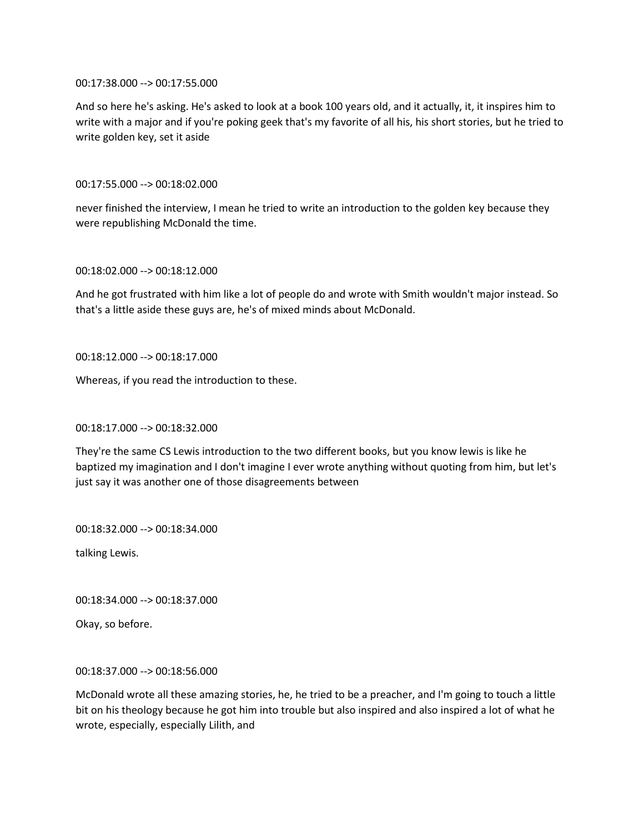00:17:38.000 --> 00:17:55.000

And so here he's asking. He's asked to look at a book 100 years old, and it actually, it, it inspires him to write with a major and if you're poking geek that's my favorite of all his, his short stories, but he tried to write golden key, set it aside

# 00:17:55.000 --> 00:18:02.000

never finished the interview, I mean he tried to write an introduction to the golden key because they were republishing McDonald the time.

### 00:18:02.000 --> 00:18:12.000

And he got frustrated with him like a lot of people do and wrote with Smith wouldn't major instead. So that's a little aside these guys are, he's of mixed minds about McDonald.

# 00:18:12.000 --> 00:18:17.000

Whereas, if you read the introduction to these.

# 00:18:17.000 --> 00:18:32.000

They're the same CS Lewis introduction to the two different books, but you know lewis is like he baptized my imagination and I don't imagine I ever wrote anything without quoting from him, but let's just say it was another one of those disagreements between

00:18:32.000 --> 00:18:34.000

talking Lewis.

00:18:34.000 --> 00:18:37.000

Okay, so before.

# 00:18:37.000 --> 00:18:56.000

McDonald wrote all these amazing stories, he, he tried to be a preacher, and I'm going to touch a little bit on his theology because he got him into trouble but also inspired and also inspired a lot of what he wrote, especially, especially Lilith, and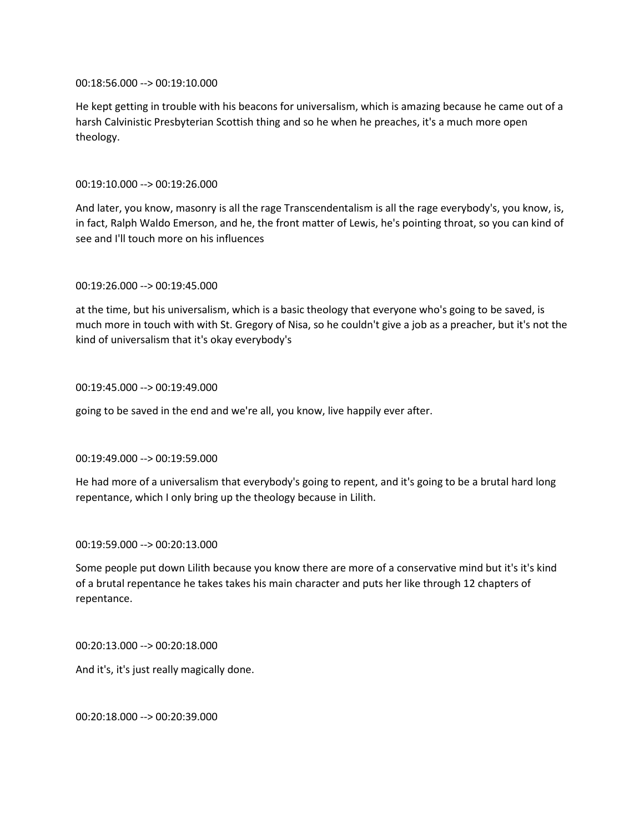00:18:56.000 --> 00:19:10.000

He kept getting in trouble with his beacons for universalism, which is amazing because he came out of a harsh Calvinistic Presbyterian Scottish thing and so he when he preaches, it's a much more open theology.

# 00:19:10.000 --> 00:19:26.000

And later, you know, masonry is all the rage Transcendentalism is all the rage everybody's, you know, is, in fact, Ralph Waldo Emerson, and he, the front matter of Lewis, he's pointing throat, so you can kind of see and I'll touch more on his influences

### 00:19:26.000 --> 00:19:45.000

at the time, but his universalism, which is a basic theology that everyone who's going to be saved, is much more in touch with with St. Gregory of Nisa, so he couldn't give a job as a preacher, but it's not the kind of universalism that it's okay everybody's

# 00:19:45.000 --> 00:19:49.000

going to be saved in the end and we're all, you know, live happily ever after.

### 00:19:49.000 --> 00:19:59.000

He had more of a universalism that everybody's going to repent, and it's going to be a brutal hard long repentance, which I only bring up the theology because in Lilith.

### 00:19:59.000 --> 00:20:13.000

Some people put down Lilith because you know there are more of a conservative mind but it's it's kind of a brutal repentance he takes takes his main character and puts her like through 12 chapters of repentance.

00:20:13.000 --> 00:20:18.000

And it's, it's just really magically done.

00:20:18.000 --> 00:20:39.000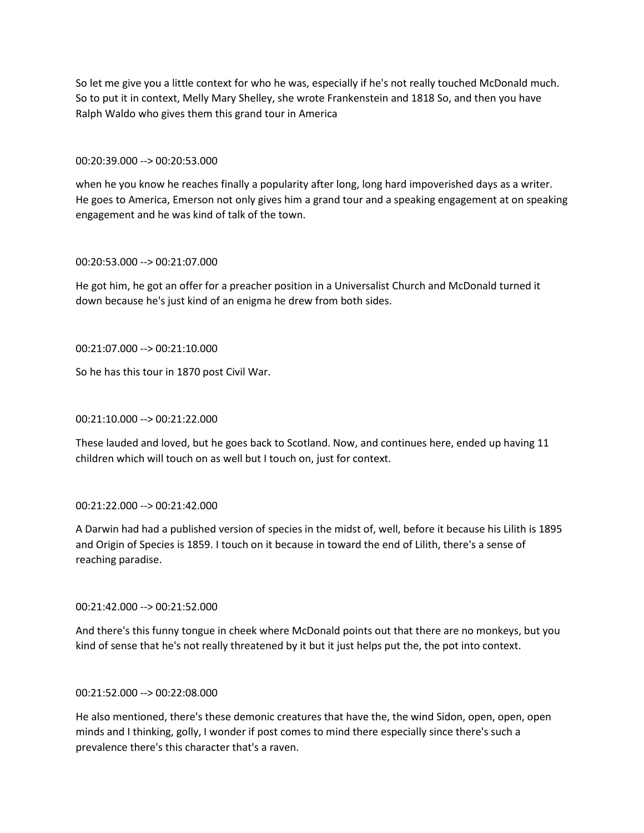So let me give you a little context for who he was, especially if he's not really touched McDonald much. So to put it in context, Melly Mary Shelley, she wrote Frankenstein and 1818 So, and then you have Ralph Waldo who gives them this grand tour in America

# 00:20:39.000 --> 00:20:53.000

when he you know he reaches finally a popularity after long, long hard impoverished days as a writer. He goes to America, Emerson not only gives him a grand tour and a speaking engagement at on speaking engagement and he was kind of talk of the town.

# 00:20:53.000 --> 00:21:07.000

He got him, he got an offer for a preacher position in a Universalist Church and McDonald turned it down because he's just kind of an enigma he drew from both sides.

# 00:21:07.000 --> 00:21:10.000

So he has this tour in 1870 post Civil War.

# 00:21:10.000 --> 00:21:22.000

These lauded and loved, but he goes back to Scotland. Now, and continues here, ended up having 11 children which will touch on as well but I touch on, just for context.

# 00:21:22.000 --> 00:21:42.000

A Darwin had had a published version of species in the midst of, well, before it because his Lilith is 1895 and Origin of Species is 1859. I touch on it because in toward the end of Lilith, there's a sense of reaching paradise.

# 00:21:42.000 --> 00:21:52.000

And there's this funny tongue in cheek where McDonald points out that there are no monkeys, but you kind of sense that he's not really threatened by it but it just helps put the, the pot into context.

### 00:21:52.000 --> 00:22:08.000

He also mentioned, there's these demonic creatures that have the, the wind Sidon, open, open, open minds and I thinking, golly, I wonder if post comes to mind there especially since there's such a prevalence there's this character that's a raven.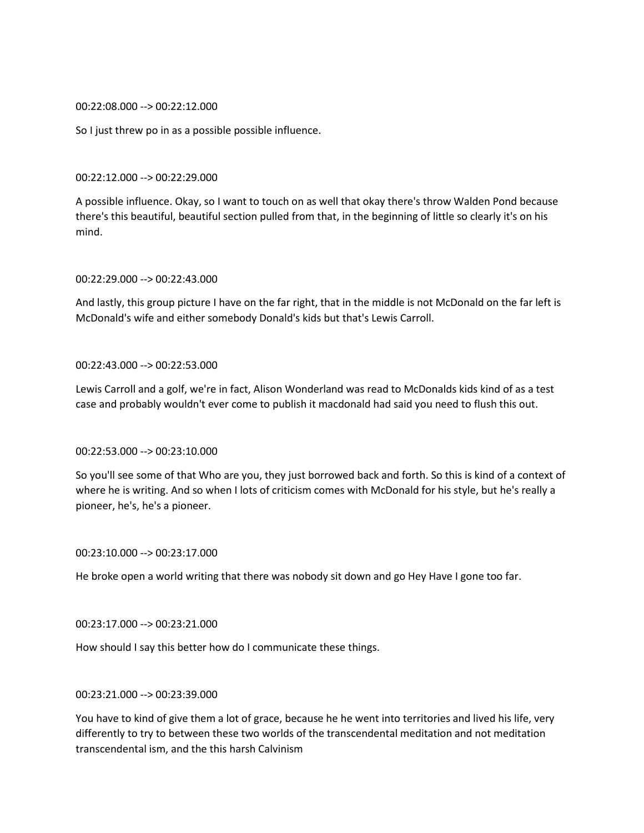00:22:08.000 --> 00:22:12.000

So I just threw po in as a possible possible influence.

00:22:12.000 --> 00:22:29.000

A possible influence. Okay, so I want to touch on as well that okay there's throw Walden Pond because there's this beautiful, beautiful section pulled from that, in the beginning of little so clearly it's on his mind.

### 00:22:29.000 --> 00:22:43.000

And lastly, this group picture I have on the far right, that in the middle is not McDonald on the far left is McDonald's wife and either somebody Donald's kids but that's Lewis Carroll.

### 00:22:43.000 --> 00:22:53.000

Lewis Carroll and a golf, we're in fact, Alison Wonderland was read to McDonalds kids kind of as a test case and probably wouldn't ever come to publish it macdonald had said you need to flush this out.

# 00:22:53.000 --> 00:23:10.000

So you'll see some of that Who are you, they just borrowed back and forth. So this is kind of a context of where he is writing. And so when I lots of criticism comes with McDonald for his style, but he's really a pioneer, he's, he's a pioneer.

00:23:10.000 --> 00:23:17.000

He broke open a world writing that there was nobody sit down and go Hey Have I gone too far.

### 00:23:17.000 --> 00:23:21.000

How should I say this better how do I communicate these things.

# 00:23:21.000 --> 00:23:39.000

You have to kind of give them a lot of grace, because he he went into territories and lived his life, very differently to try to between these two worlds of the transcendental meditation and not meditation transcendental ism, and the this harsh Calvinism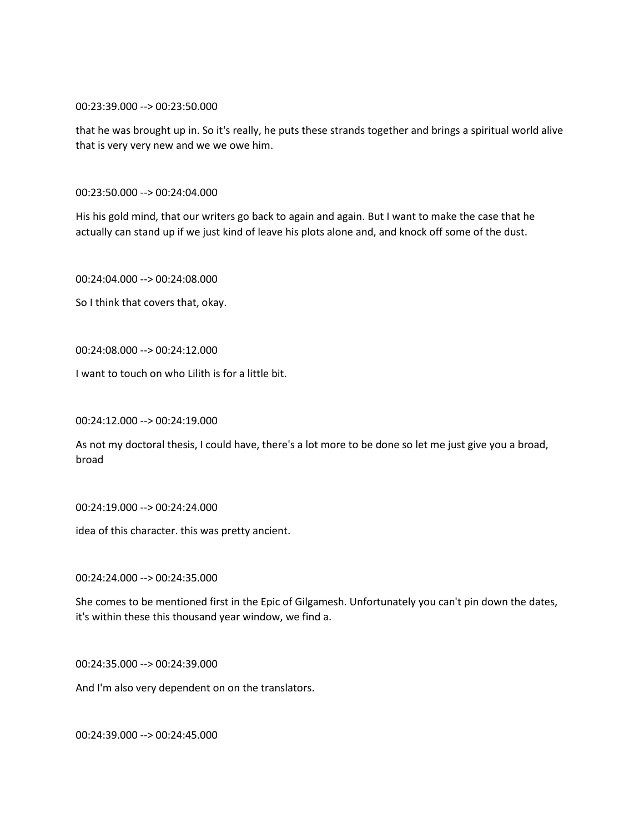00:23:39.000 --> 00:23:50.000

that he was brought up in. So it's really, he puts these strands together and brings a spiritual world alive that is very very new and we we owe him.

00:23:50.000 --> 00:24:04.000

His his gold mind, that our writers go back to again and again. But I want to make the case that he actually can stand up if we just kind of leave his plots alone and, and knock off some of the dust.

00:24:04.000 --> 00:24:08.000

So I think that covers that, okay.

00:24:08.000 --> 00:24:12.000

I want to touch on who Lilith is for a little bit.

00:24:12.000 --> 00:24:19.000

As not my doctoral thesis, I could have, there's a lot more to be done so let me just give you a broad, broad

00:24:19.000 --> 00:24:24.000

idea of this character. this was pretty ancient.

00:24:24.000 --> 00:24:35.000

She comes to be mentioned first in the Epic of Gilgamesh. Unfortunately you can't pin down the dates, it's within these this thousand year window, we find a.

00:24:35.000 --> 00:24:39.000

And I'm also very dependent on on the translators.

00:24:39.000 --> 00:24:45.000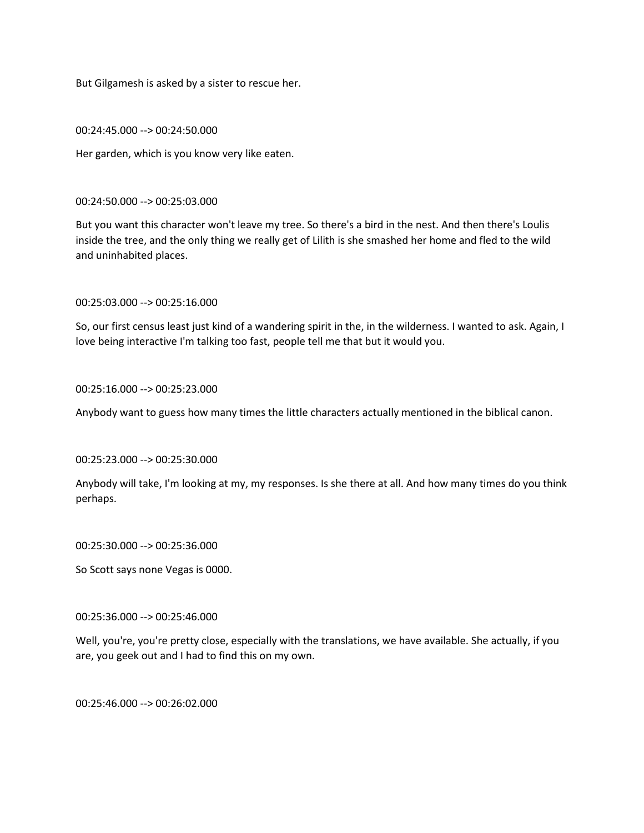But Gilgamesh is asked by a sister to rescue her.

00:24:45.000 --> 00:24:50.000

Her garden, which is you know very like eaten.

00:24:50.000 --> 00:25:03.000

But you want this character won't leave my tree. So there's a bird in the nest. And then there's Loulis inside the tree, and the only thing we really get of Lilith is she smashed her home and fled to the wild and uninhabited places.

00:25:03.000 --> 00:25:16.000

So, our first census least just kind of a wandering spirit in the, in the wilderness. I wanted to ask. Again, I love being interactive I'm talking too fast, people tell me that but it would you.

00:25:16.000 --> 00:25:23.000

Anybody want to guess how many times the little characters actually mentioned in the biblical canon.

00:25:23.000 --> 00:25:30.000

Anybody will take, I'm looking at my, my responses. Is she there at all. And how many times do you think perhaps.

00:25:30.000 --> 00:25:36.000

So Scott says none Vegas is 0000.

00:25:36.000 --> 00:25:46.000

Well, you're, you're pretty close, especially with the translations, we have available. She actually, if you are, you geek out and I had to find this on my own.

00:25:46.000 --> 00:26:02.000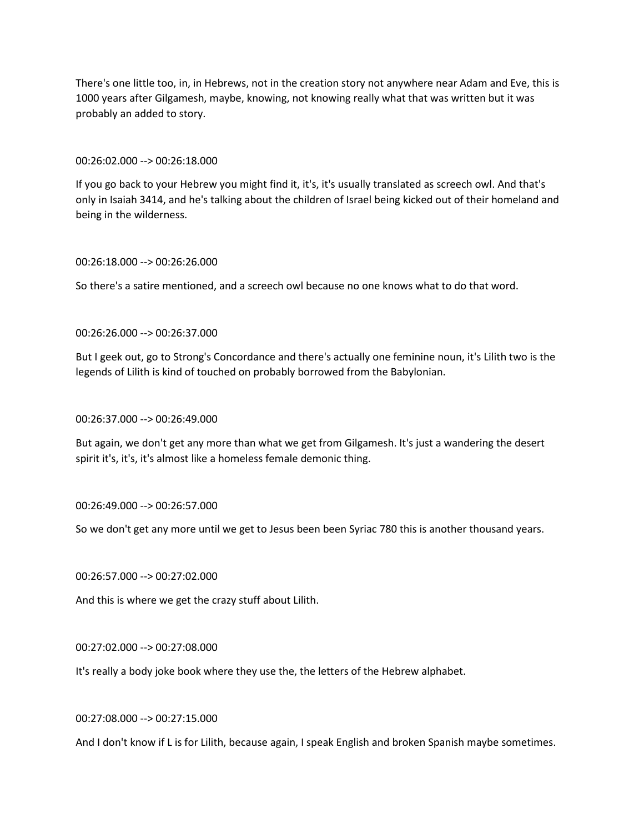There's one little too, in, in Hebrews, not in the creation story not anywhere near Adam and Eve, this is 1000 years after Gilgamesh, maybe, knowing, not knowing really what that was written but it was probably an added to story.

### 00:26:02.000 --> 00:26:18.000

If you go back to your Hebrew you might find it, it's, it's usually translated as screech owl. And that's only in Isaiah 3414, and he's talking about the children of Israel being kicked out of their homeland and being in the wilderness.

### 00:26:18.000 --> 00:26:26.000

So there's a satire mentioned, and a screech owl because no one knows what to do that word.

00:26:26.000 --> 00:26:37.000

But I geek out, go to Strong's Concordance and there's actually one feminine noun, it's Lilith two is the legends of Lilith is kind of touched on probably borrowed from the Babylonian.

#### 00:26:37.000 --> 00:26:49.000

But again, we don't get any more than what we get from Gilgamesh. It's just a wandering the desert spirit it's, it's, it's almost like a homeless female demonic thing.

### 00:26:49.000 --> 00:26:57.000

So we don't get any more until we get to Jesus been been Syriac 780 this is another thousand years.

# 00:26:57.000 --> 00:27:02.000

And this is where we get the crazy stuff about Lilith.

# 00:27:02.000 --> 00:27:08.000

It's really a body joke book where they use the, the letters of the Hebrew alphabet.

# 00:27:08.000 --> 00:27:15.000

And I don't know if L is for Lilith, because again, I speak English and broken Spanish maybe sometimes.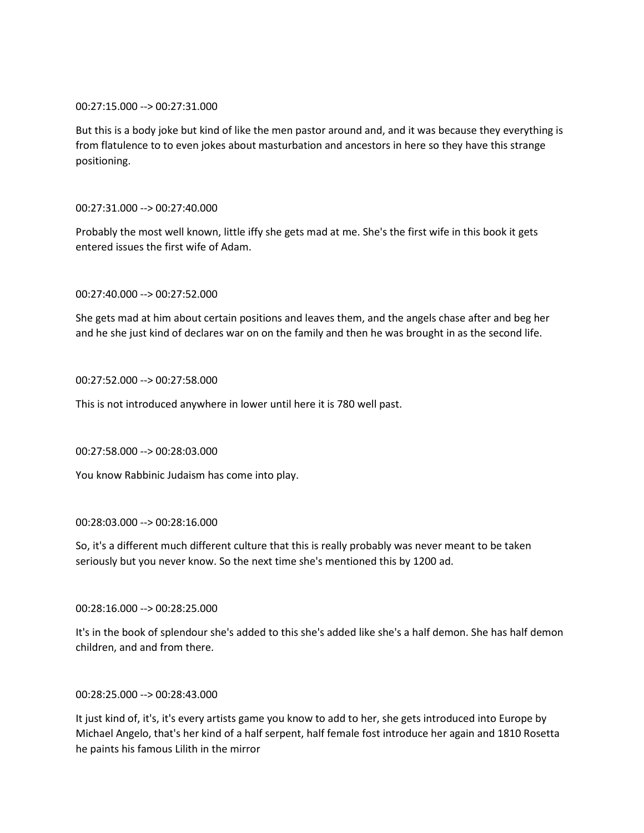# 00:27:15.000 --> 00:27:31.000

But this is a body joke but kind of like the men pastor around and, and it was because they everything is from flatulence to to even jokes about masturbation and ancestors in here so they have this strange positioning.

# 00:27:31.000 --> 00:27:40.000

Probably the most well known, little iffy she gets mad at me. She's the first wife in this book it gets entered issues the first wife of Adam.

# 00:27:40.000 --> 00:27:52.000

She gets mad at him about certain positions and leaves them, and the angels chase after and beg her and he she just kind of declares war on on the family and then he was brought in as the second life.

# 00:27:52.000 --> 00:27:58.000

This is not introduced anywhere in lower until here it is 780 well past.

# 00:27:58.000 --> 00:28:03.000

You know Rabbinic Judaism has come into play.

### 00:28:03.000 --> 00:28:16.000

So, it's a different much different culture that this is really probably was never meant to be taken seriously but you never know. So the next time she's mentioned this by 1200 ad.

00:28:16.000 --> 00:28:25.000

It's in the book of splendour she's added to this she's added like she's a half demon. She has half demon children, and and from there.

# 00:28:25.000 --> 00:28:43.000

It just kind of, it's, it's every artists game you know to add to her, she gets introduced into Europe by Michael Angelo, that's her kind of a half serpent, half female fost introduce her again and 1810 Rosetta he paints his famous Lilith in the mirror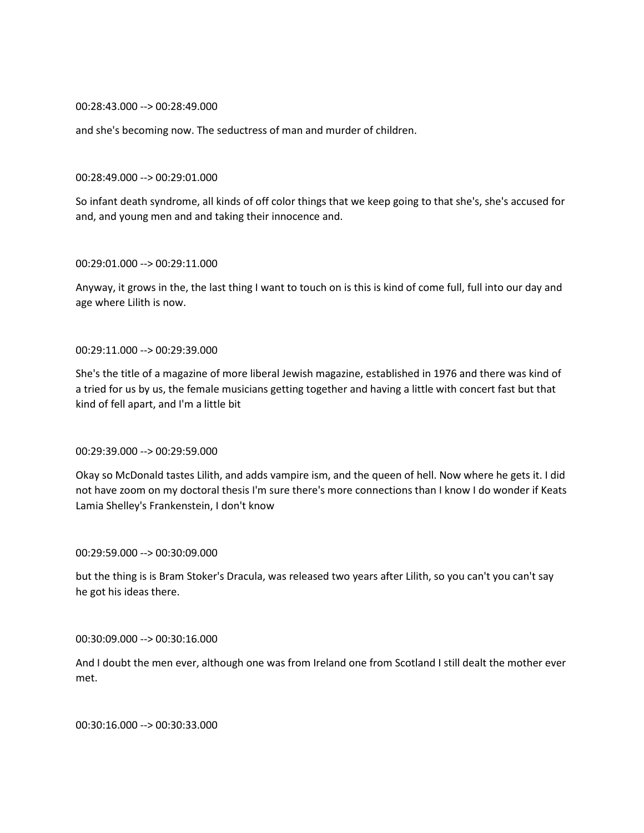### 00:28:43.000 --> 00:28:49.000

and she's becoming now. The seductress of man and murder of children.

#### 00:28:49.000 --> 00:29:01.000

So infant death syndrome, all kinds of off color things that we keep going to that she's, she's accused for and, and young men and and taking their innocence and.

### 00:29:01.000 --> 00:29:11.000

Anyway, it grows in the, the last thing I want to touch on is this is kind of come full, full into our day and age where Lilith is now.

### 00:29:11.000 --> 00:29:39.000

She's the title of a magazine of more liberal Jewish magazine, established in 1976 and there was kind of a tried for us by us, the female musicians getting together and having a little with concert fast but that kind of fell apart, and I'm a little bit

# 00:29:39.000 --> 00:29:59.000

Okay so McDonald tastes Lilith, and adds vampire ism, and the queen of hell. Now where he gets it. I did not have zoom on my doctoral thesis I'm sure there's more connections than I know I do wonder if Keats Lamia Shelley's Frankenstein, I don't know

#### 00:29:59.000 --> 00:30:09.000

but the thing is is Bram Stoker's Dracula, was released two years after Lilith, so you can't you can't say he got his ideas there.

### 00:30:09.000 --> 00:30:16.000

And I doubt the men ever, although one was from Ireland one from Scotland I still dealt the mother ever met.

00:30:16.000 --> 00:30:33.000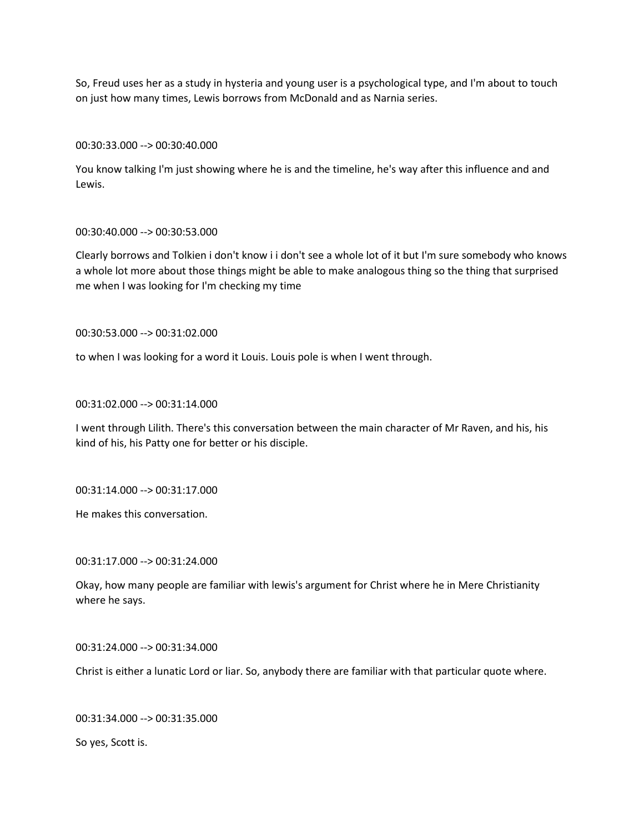So, Freud uses her as a study in hysteria and young user is a psychological type, and I'm about to touch on just how many times, Lewis borrows from McDonald and as Narnia series.

00:30:33.000 --> 00:30:40.000

You know talking I'm just showing where he is and the timeline, he's way after this influence and and Lewis.

## 00:30:40.000 --> 00:30:53.000

Clearly borrows and Tolkien i don't know i i don't see a whole lot of it but I'm sure somebody who knows a whole lot more about those things might be able to make analogous thing so the thing that surprised me when I was looking for I'm checking my time

00:30:53.000 --> 00:31:02.000

to when I was looking for a word it Louis. Louis pole is when I went through.

00:31:02.000 --> 00:31:14.000

I went through Lilith. There's this conversation between the main character of Mr Raven, and his, his kind of his, his Patty one for better or his disciple.

00:31:14.000 --> 00:31:17.000

He makes this conversation.

00:31:17.000 --> 00:31:24.000

Okay, how many people are familiar with lewis's argument for Christ where he in Mere Christianity where he says.

00:31:24.000 --> 00:31:34.000

Christ is either a lunatic Lord or liar. So, anybody there are familiar with that particular quote where.

00:31:34.000 --> 00:31:35.000

So yes, Scott is.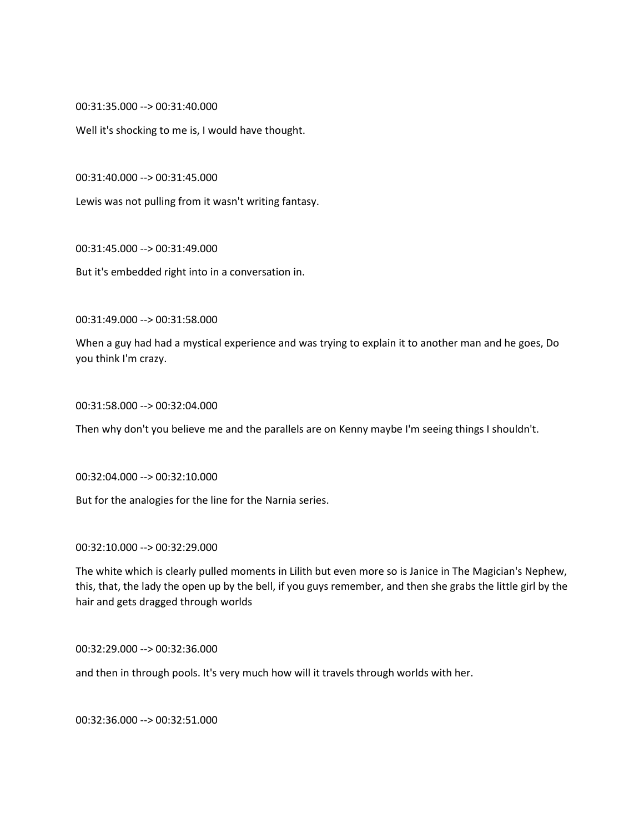00:31:35.000 --> 00:31:40.000

Well it's shocking to me is, I would have thought.

00:31:40.000 --> 00:31:45.000

Lewis was not pulling from it wasn't writing fantasy.

00:31:45.000 --> 00:31:49.000

But it's embedded right into in a conversation in.

00:31:49.000 --> 00:31:58.000

When a guy had had a mystical experience and was trying to explain it to another man and he goes, Do you think I'm crazy.

00:31:58.000 --> 00:32:04.000

Then why don't you believe me and the parallels are on Kenny maybe I'm seeing things I shouldn't.

00:32:04.000 --> 00:32:10.000

But for the analogies for the line for the Narnia series.

00:32:10.000 --> 00:32:29.000

The white which is clearly pulled moments in Lilith but even more so is Janice in The Magician's Nephew, this, that, the lady the open up by the bell, if you guys remember, and then she grabs the little girl by the hair and gets dragged through worlds

00:32:29.000 --> 00:32:36.000

and then in through pools. It's very much how will it travels through worlds with her.

00:32:36.000 --> 00:32:51.000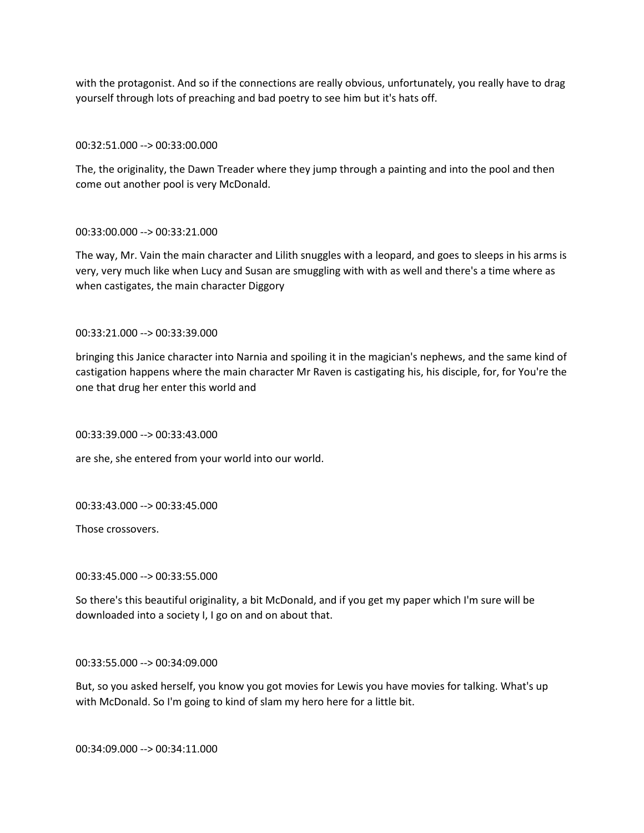with the protagonist. And so if the connections are really obvious, unfortunately, you really have to drag yourself through lots of preaching and bad poetry to see him but it's hats off.

# 00:32:51.000 --> 00:33:00.000

The, the originality, the Dawn Treader where they jump through a painting and into the pool and then come out another pool is very McDonald.

# 00:33:00.000 --> 00:33:21.000

The way, Mr. Vain the main character and Lilith snuggles with a leopard, and goes to sleeps in his arms is very, very much like when Lucy and Susan are smuggling with with as well and there's a time where as when castigates, the main character Diggory

00:33:21.000 --> 00:33:39.000

bringing this Janice character into Narnia and spoiling it in the magician's nephews, and the same kind of castigation happens where the main character Mr Raven is castigating his, his disciple, for, for You're the one that drug her enter this world and

00:33:39.000 --> 00:33:43.000

are she, she entered from your world into our world.

00:33:43.000 --> 00:33:45.000

Those crossovers.

00:33:45.000 --> 00:33:55.000

So there's this beautiful originality, a bit McDonald, and if you get my paper which I'm sure will be downloaded into a society I, I go on and on about that.

00:33:55.000 --> 00:34:09.000

But, so you asked herself, you know you got movies for Lewis you have movies for talking. What's up with McDonald. So I'm going to kind of slam my hero here for a little bit.

00:34:09.000 --> 00:34:11.000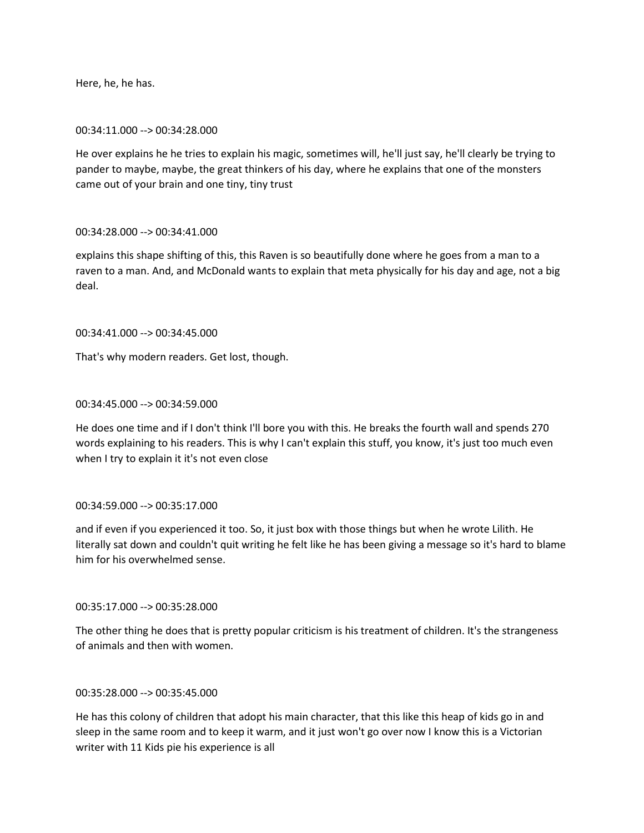Here, he, he has.

## 00:34:11.000 --> 00:34:28.000

He over explains he he tries to explain his magic, sometimes will, he'll just say, he'll clearly be trying to pander to maybe, maybe, the great thinkers of his day, where he explains that one of the monsters came out of your brain and one tiny, tiny trust

# 00:34:28.000 --> 00:34:41.000

explains this shape shifting of this, this Raven is so beautifully done where he goes from a man to a raven to a man. And, and McDonald wants to explain that meta physically for his day and age, not a big deal.

# 00:34:41.000 --> 00:34:45.000

That's why modern readers. Get lost, though.

# 00:34:45.000 --> 00:34:59.000

He does one time and if I don't think I'll bore you with this. He breaks the fourth wall and spends 270 words explaining to his readers. This is why I can't explain this stuff, you know, it's just too much even when I try to explain it it's not even close

### 00:34:59.000 --> 00:35:17.000

and if even if you experienced it too. So, it just box with those things but when he wrote Lilith. He literally sat down and couldn't quit writing he felt like he has been giving a message so it's hard to blame him for his overwhelmed sense.

# 00:35:17.000 --> 00:35:28.000

The other thing he does that is pretty popular criticism is his treatment of children. It's the strangeness of animals and then with women.

# 00:35:28.000 --> 00:35:45.000

He has this colony of children that adopt his main character, that this like this heap of kids go in and sleep in the same room and to keep it warm, and it just won't go over now I know this is a Victorian writer with 11 Kids pie his experience is all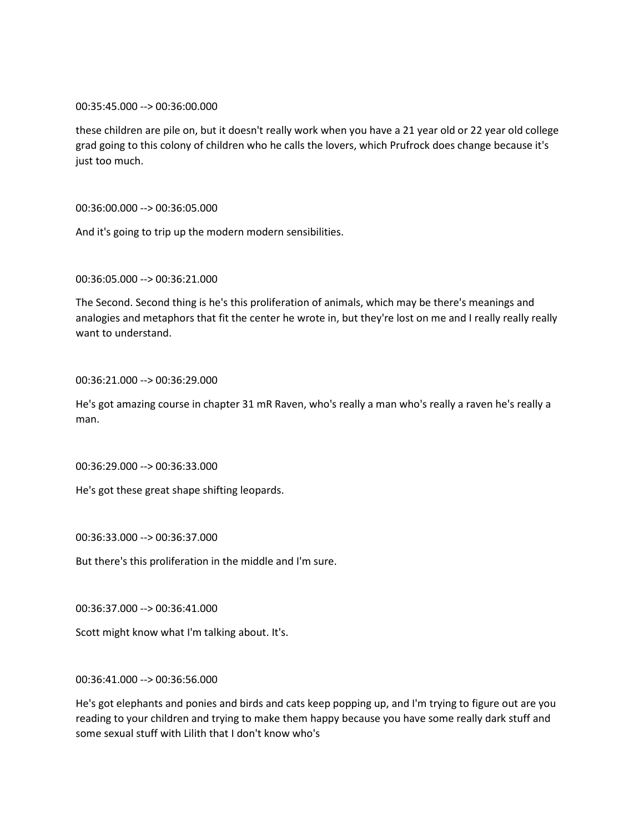00:35:45.000 --> 00:36:00.000

these children are pile on, but it doesn't really work when you have a 21 year old or 22 year old college grad going to this colony of children who he calls the lovers, which Prufrock does change because it's just too much.

# 00:36:00.000 --> 00:36:05.000

And it's going to trip up the modern modern sensibilities.

## 00:36:05.000 --> 00:36:21.000

The Second. Second thing is he's this proliferation of animals, which may be there's meanings and analogies and metaphors that fit the center he wrote in, but they're lost on me and I really really really want to understand.

### 00:36:21.000 --> 00:36:29.000

He's got amazing course in chapter 31 mR Raven, who's really a man who's really a raven he's really a man.

### 00:36:29.000 --> 00:36:33.000

He's got these great shape shifting leopards.

00:36:33.000 --> 00:36:37.000

But there's this proliferation in the middle and I'm sure.

00:36:37.000 --> 00:36:41.000

Scott might know what I'm talking about. It's.

# 00:36:41.000 --> 00:36:56.000

He's got elephants and ponies and birds and cats keep popping up, and I'm trying to figure out are you reading to your children and trying to make them happy because you have some really dark stuff and some sexual stuff with Lilith that I don't know who's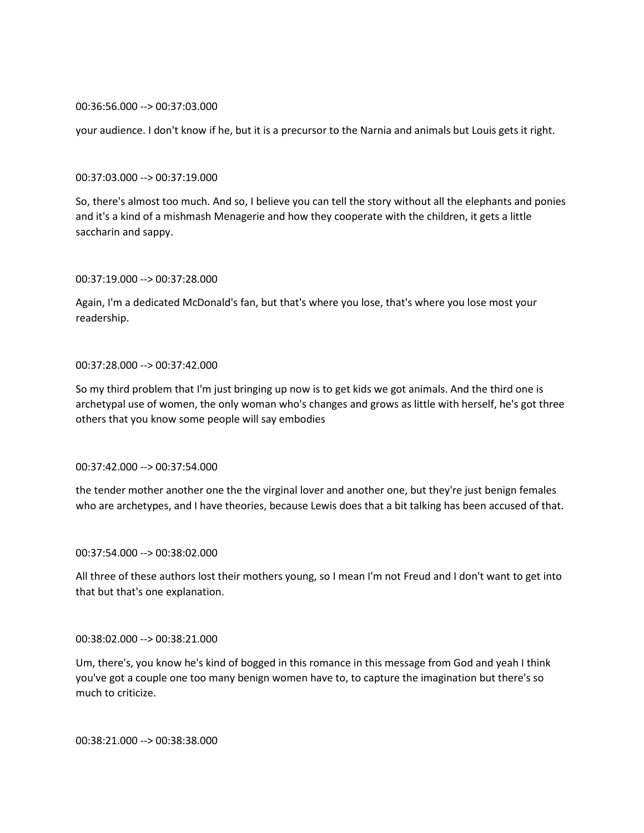### 00:36:56.000 --> 00:37:03.000

your audience. I don't know if he, but it is a precursor to the Narnia and animals but Louis gets it right.

### 00:37:03.000 --> 00:37:19.000

So, there's almost too much. And so, I believe you can tell the story without all the elephants and ponies and it's a kind of a mishmash Menagerie and how they cooperate with the children, it gets a little saccharin and sappy.

### 00:37:19.000 --> 00:37:28.000

Again, I'm a dedicated McDonald's fan, but that's where you lose, that's where you lose most your readership.

# 00:37:28.000 --> 00:37:42.000

So my third problem that I'm just bringing up now is to get kids we got animals. And the third one is archetypal use of women, the only woman who's changes and grows as little with herself, he's got three others that you know some people will say embodies

### 00:37:42.000 --> 00:37:54.000

the tender mother another one the the virginal lover and another one, but they're just benign females who are archetypes, and I have theories, because Lewis does that a bit talking has been accused of that.

### 00:37:54.000 --> 00:38:02.000

All three of these authors lost their mothers young, so I mean I'm not Freud and I don't want to get into that but that's one explanation.

### 00:38:02.000 --> 00:38:21.000

Um, there's, you know he's kind of bogged in this romance in this message from God and yeah I think you've got a couple one too many benign women have to, to capture the imagination but there's so much to criticize.

00:38:21.000 --> 00:38:38.000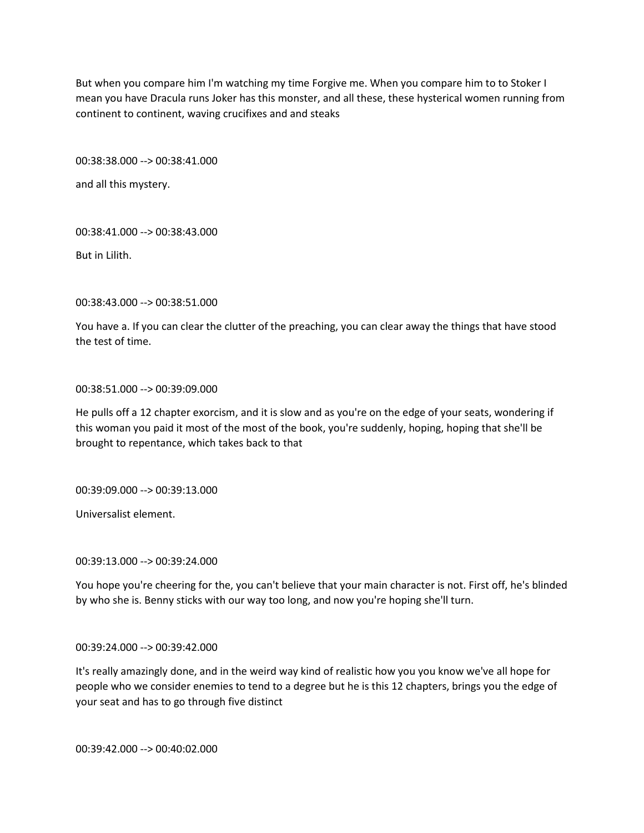But when you compare him I'm watching my time Forgive me. When you compare him to to Stoker I mean you have Dracula runs Joker has this monster, and all these, these hysterical women running from continent to continent, waving crucifixes and and steaks

00:38:38.000 --> 00:38:41.000

and all this mystery.

00:38:41.000 --> 00:38:43.000

But in Lilith.

00:38:43.000 --> 00:38:51.000

You have a. If you can clear the clutter of the preaching, you can clear away the things that have stood the test of time.

00:38:51.000 --> 00:39:09.000

He pulls off a 12 chapter exorcism, and it is slow and as you're on the edge of your seats, wondering if this woman you paid it most of the most of the book, you're suddenly, hoping, hoping that she'll be brought to repentance, which takes back to that

00:39:09.000 --> 00:39:13.000

Universalist element.

00:39:13.000 --> 00:39:24.000

You hope you're cheering for the, you can't believe that your main character is not. First off, he's blinded by who she is. Benny sticks with our way too long, and now you're hoping she'll turn.

00:39:24.000 --> 00:39:42.000

It's really amazingly done, and in the weird way kind of realistic how you you know we've all hope for people who we consider enemies to tend to a degree but he is this 12 chapters, brings you the edge of your seat and has to go through five distinct

00:39:42.000 --> 00:40:02.000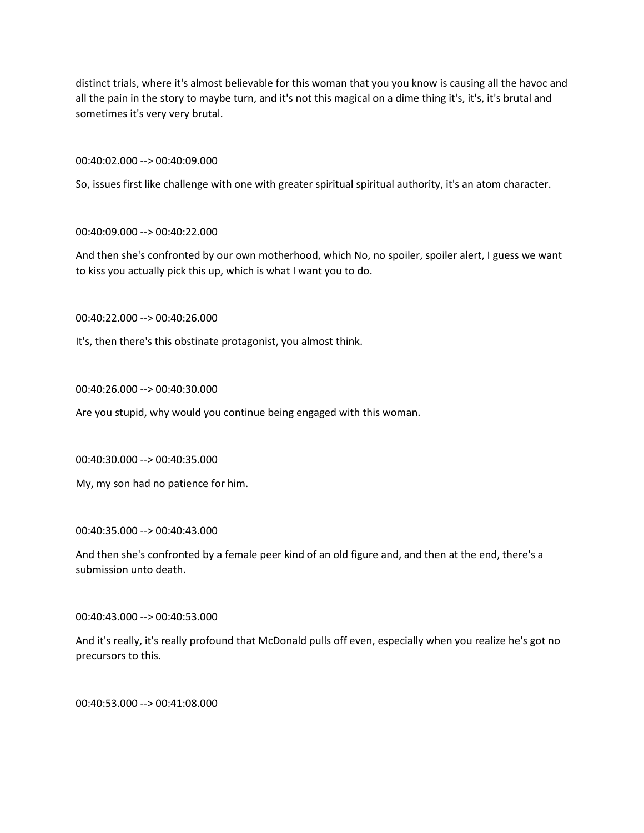distinct trials, where it's almost believable for this woman that you you know is causing all the havoc and all the pain in the story to maybe turn, and it's not this magical on a dime thing it's, it's, it's brutal and sometimes it's very very brutal.

00:40:02.000 --> 00:40:09.000

So, issues first like challenge with one with greater spiritual spiritual authority, it's an atom character.

00:40:09.000 --> 00:40:22.000

And then she's confronted by our own motherhood, which No, no spoiler, spoiler alert, I guess we want to kiss you actually pick this up, which is what I want you to do.

00:40:22.000 --> 00:40:26.000

It's, then there's this obstinate protagonist, you almost think.

00:40:26.000 --> 00:40:30.000

Are you stupid, why would you continue being engaged with this woman.

00:40:30.000 --> 00:40:35.000

My, my son had no patience for him.

00:40:35.000 --> 00:40:43.000

And then she's confronted by a female peer kind of an old figure and, and then at the end, there's a submission unto death.

00:40:43.000 --> 00:40:53.000

And it's really, it's really profound that McDonald pulls off even, especially when you realize he's got no precursors to this.

00:40:53.000 --> 00:41:08.000